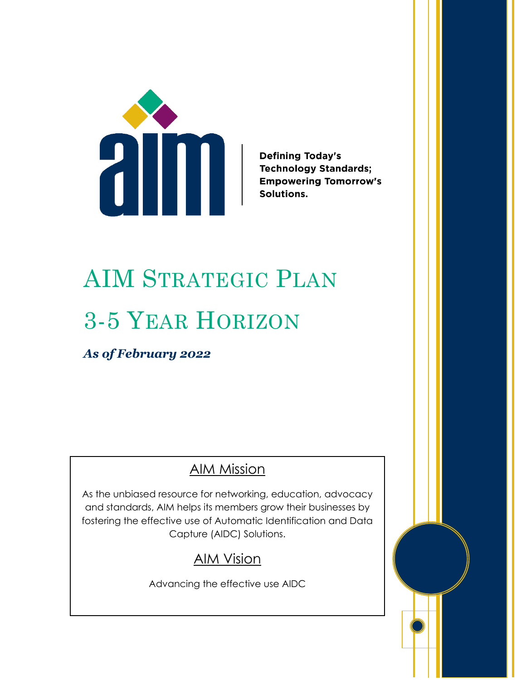

**Defining Today's Technology Standards; Empowering Tomorrow's** Solutions.

# AIM STRATEGIC PLAN 3-5 YEAR HORIZON

*As of February 2022*

## AIM Mission

As the unbiased resource for networking, education, advocacy and standards, AIM helps its members grow their businesses by fostering the effective use of Automatic Identification and Data Capture (AIDC) Solutions.

## AIM Vision

Advancing the effective use AIDC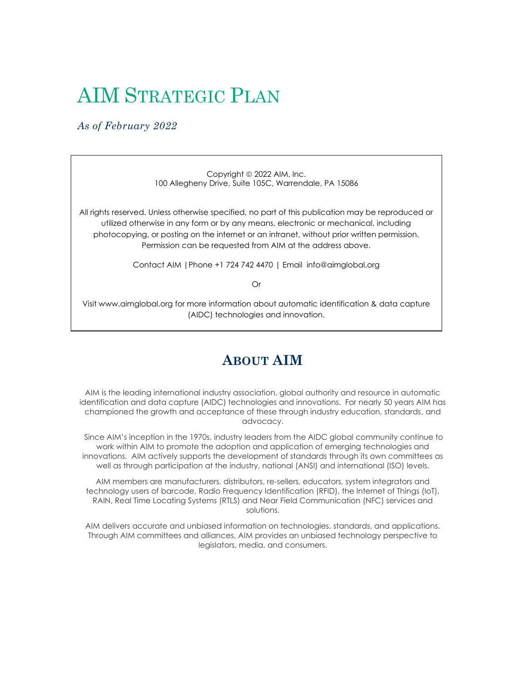## AIM STRATEGIC PLAN

#### *As of February 2022*

Copyright © 2022 AIM, Inc. 100 Allegheny Drive, Suite 105C, Warrendale, PA 15086

All rights reserved. Unless otherwise specified, no part of this publication may be reproduced or utilized otherwise in any form or by any means, electronic or mechanical, including photocopying, or posting on the internet or an intranet, without prior written permission. Permission can be requested from AIM at the address above.

Contact AIM |Phone +1 724 742 4470 | Email info@aimglobal.org

Or

Visit www.aimglobal.org for more information about automatic identification & data capture (AIDC) technologies and innovation.

## **ABOUT AIM**

AIM is the leading international industry association, global authority and resource in automatic identification and data capture (AIDC) technologies and innovations. For nearly 50 years AIM has championed the growth and acceptance of these through industry education, standards, and advocacy.

Since AIM's inception in the 1970s, industry leaders from the AIDC global community continue to work within AIM to promote the adoption and application of emerging technologies and innovations. AIM actively supports the development of standards through its own committees as well as through participation at the industry, national (ANSI) and international (ISO) levels.

AIM members are manufacturers, distributors, re-sellers, educators, system integrators and technology users of barcode, Radio Frequency Identification (RFID), the Internet of Things (IoT), RAIN, Real Time Locating Systems (RTLS) and Near Field Communication (NFC) services and solutions.

AIM delivers accurate and unbiased information on technologies, standards, and applications. Through AIM committees and alliances, AIM provides an unbiased technology perspective to legislators, media, and consumers.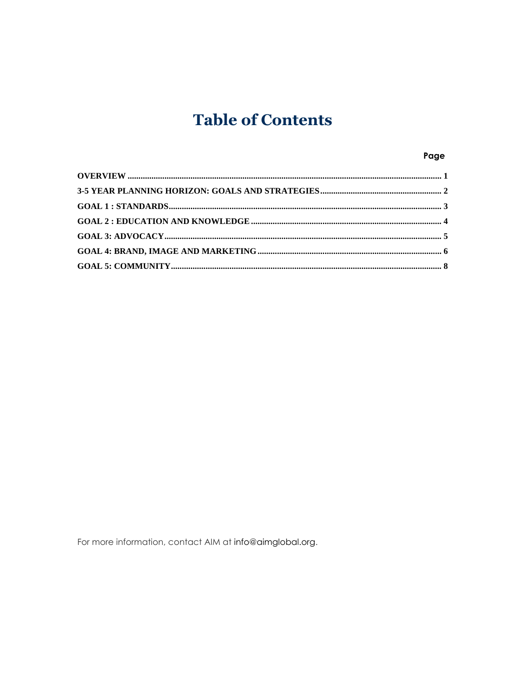## **Table of Contents**

#### Page

For more information, contact AIM at info@aimglobal.org.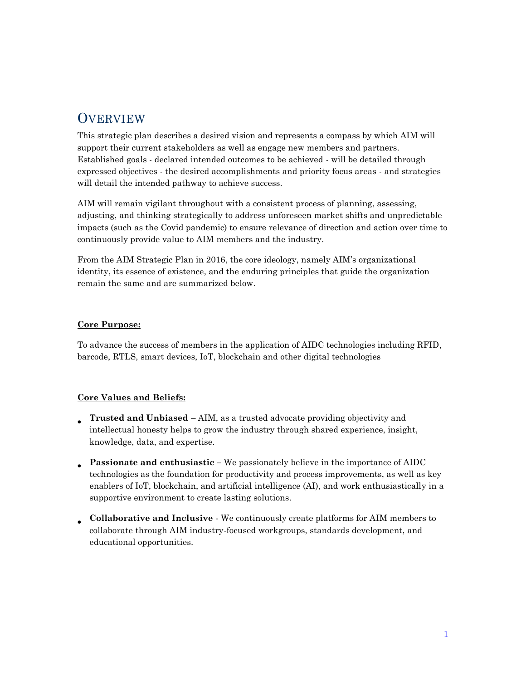## <span id="page-3-0"></span>**OVERVIEW**

This strategic plan describes a desired vision and represents a compass by which AIM will support their current stakeholders as well as engage new members and partners. Established goals - declared intended outcomes to be achieved - will be detailed through expressed objectives - the desired accomplishments and priority focus areas - and strategies will detail the intended pathway to achieve success.

AIM will remain vigilant throughout with a consistent process of planning, assessing, adjusting, and thinking strategically to address unforeseen market shifts and unpredictable impacts (such as the Covid pandemic) to ensure relevance of direction and action over time to continuously provide value to AIM members and the industry.

From the AIM Strategic Plan in 2016, the core ideology, namely AIM's organizational identity, its essence of existence, and the enduring principles that guide the organization remain the same and are summarized below.

#### **Core Purpose:**

To advance the success of members in the application of AIDC technologies including RFID, barcode, RTLS, smart devices, IoT, blockchain and other digital technologies

#### **Core Values and Beliefs:**

- **Trusted and Unbiased** – AIM, as a trusted advocate providing objectivity and intellectual honesty helps to grow the industry through shared experience, insight, knowledge, data, and expertise.
- **Passionate and enthusiastic –** We passionately believe in the importance of AIDC technologies as the foundation for productivity and process improvements, as well as key enablers of IoT, blockchain, and artificial intelligence (AI), and work enthusiastically in a supportive environment to create lasting solutions.
- **Collaborative and Inclusive** - We continuously create platforms for AIM members to collaborate through AIM industry-focused workgroups, standards development, and educational opportunities.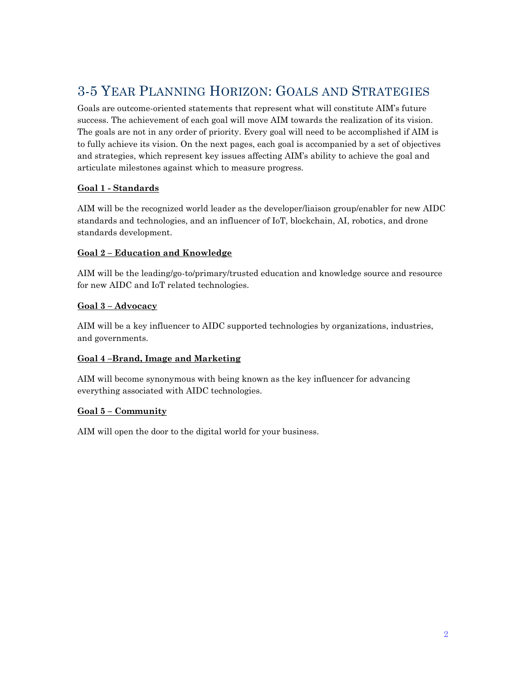## <span id="page-4-0"></span>3-5 YEAR PLANNING HORIZON: GOALS AND STRATEGIES

Goals are outcome-oriented statements that represent what will constitute AIM's future success. The achievement of each goal will move AIM towards the realization of its vision. The goals are not in any order of priority. Every goal will need to be accomplished if AIM is to fully achieve its vision. On the next pages, each goal is accompanied by a set of objectives and strategies, which represent key issues affecting AIM's ability to achieve the goal and articulate milestones against which to measure progress.

#### **Goal 1 - Standards**

AIM will be the recognized world leader as the developer/liaison group/enabler for new AIDC standards and technologies, and an influencer of IoT, blockchain, AI, robotics, and drone standards development.

#### **Goal 2 – Education and Knowledge**

AIM will be the leading/go-to/primary/trusted education and knowledge source and resource for new AIDC and IoT related technologies.

#### **Goal 3 – Advocacy**

AIM will be a key influencer to AIDC supported technologies by organizations, industries, and governments.

#### **Goal 4 –Brand, Image and Marketing**

AIM will become synonymous with being known as the key influencer for advancing everything associated with AIDC technologies.

#### **Goal 5 – Community**

<span id="page-4-1"></span>AIM will open the door to the digital world for your business.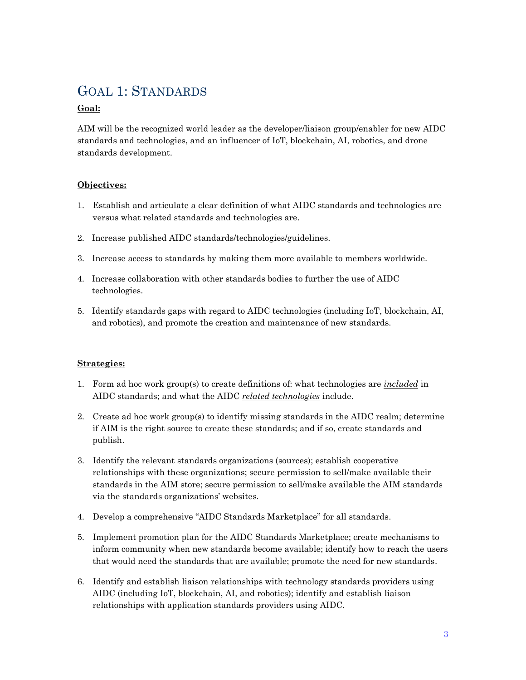### GOAL 1: STANDARDS

#### **Goal:**

AIM will be the recognized world leader as the developer/liaison group/enabler for new AIDC standards and technologies, and an influencer of IoT, blockchain, AI, robotics, and drone standards development.

#### **Objectives:**

- 1. Establish and articulate a clear definition of what AIDC standards and technologies are versus what related standards and technologies are.
- 2. Increase published AIDC standards/technologies/guidelines.
- 3. Increase access to standards by making them more available to members worldwide.
- 4. Increase collaboration with other standards bodies to further the use of AIDC technologies.
- 5. Identify standards gaps with regard to AIDC technologies (including IoT, blockchain, AI, and robotics), and promote the creation and maintenance of new standards.

- 1. Form ad hoc work group(s) to create definitions of: what technologies are *included* in AIDC standards; and what the AIDC *related technologies* include.
- 2. Create ad hoc work group(s) to identify missing standards in the AIDC realm; determine if AIM is the right source to create these standards; and if so, create standards and publish.
- 3. Identify the relevant standards organizations (sources); establish cooperative relationships with these organizations; secure permission to sell/make available their standards in the AIM store; secure permission to sell/make available the AIM standards via the standards organizations' websites.
- 4. Develop a comprehensive "AIDC Standards Marketplace" for all standards.
- 5. Implement promotion plan for the AIDC Standards Marketplace; create mechanisms to inform community when new standards become available; identify how to reach the users that would need the standards that are available; promote the need for new standards.
- 6. Identify and establish liaison relationships with technology standards providers using AIDC (including IoT, blockchain, AI, and robotics); identify and establish liaison relationships with application standards providers using AIDC.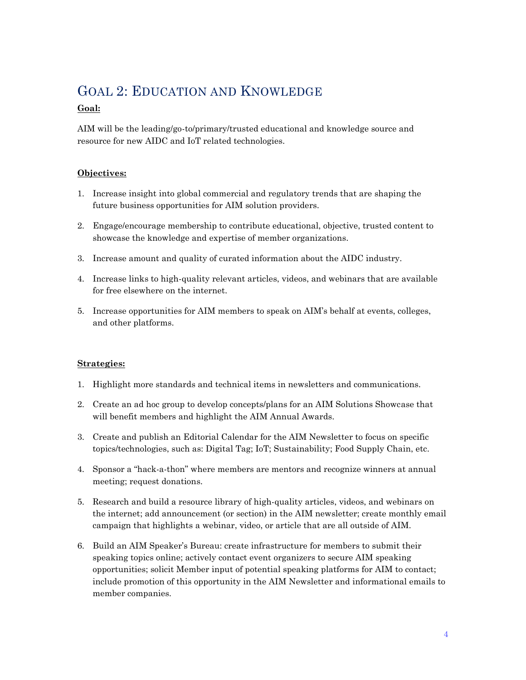## <span id="page-6-0"></span>GOAL 2: EDUCATION AND KNOWLEDGE

#### **Goal:**

AIM will be the leading/go-to/primary/trusted educational and knowledge source and resource for new AIDC and IoT related technologies.

#### **Objectives:**

- 1. Increase insight into global commercial and regulatory trends that are shaping the future business opportunities for AIM solution providers.
- 2. Engage/encourage membership to contribute educational, objective, trusted content to showcase the knowledge and expertise of member organizations.
- 3. Increase amount and quality of curated information about the AIDC industry.
- 4. Increase links to high-quality relevant articles, videos, and webinars that are available for free elsewhere on the internet.
- 5. Increase opportunities for AIM members to speak on AIM's behalf at events, colleges, and other platforms.

- 1. Highlight more standards and technical items in newsletters and communications.
- 2. Create an ad hoc group to develop concepts/plans for an AIM Solutions Showcase that will benefit members and highlight the AIM Annual Awards.
- 3. Create and publish an Editorial Calendar for the AIM Newsletter to focus on specific topics/technologies, such as: Digital Tag; IoT; Sustainability; Food Supply Chain, etc.
- 4. Sponsor a "hack-a-thon" where members are mentors and recognize winners at annual meeting; request donations.
- 5. Research and build a resource library of high-quality articles, videos, and webinars on the internet; add announcement (or section) in the AIM newsletter; create monthly email campaign that highlights a webinar, video, or article that are all outside of AIM.
- 6. Build an AIM Speaker's Bureau: create infrastructure for members to submit their speaking topics online; actively contact event organizers to secure AIM speaking opportunities; solicit Member input of potential speaking platforms for AIM to contact; include promotion of this opportunity in the AIM Newsletter and informational emails to member companies.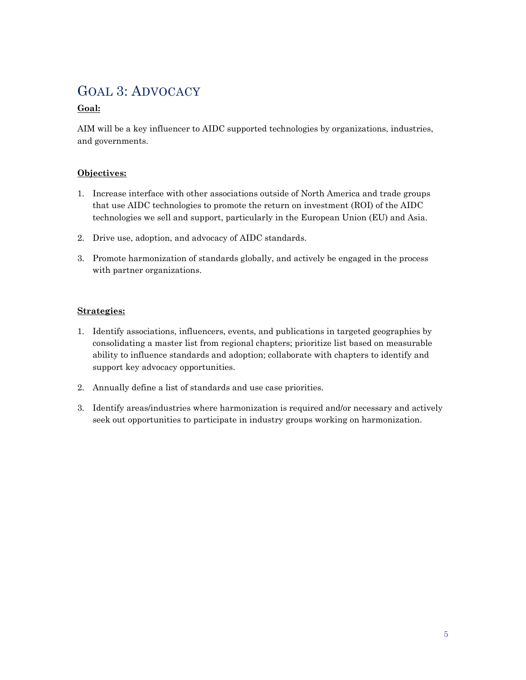## <span id="page-7-0"></span>GOAL 3: ADVOCACY

#### **Goal:**

AIM will be a key influencer to AIDC supported technologies by organizations, industries, and governments.

#### **Objectives:**

- 1. Increase interface with other associations outside of North America and trade groups that use AIDC technologies to promote the return on investment (ROI) of the AIDC technologies we sell and support, particularly in the European Union (EU) and Asia.
- 2. Drive use, adoption, and advocacy of AIDC standards.
- 3. Promote harmonization of standards globally, and actively be engaged in the process with partner organizations.

- 1. Identify associations, influencers, events, and publications in targeted geographies by consolidating a master list from regional chapters; prioritize list based on measurable ability to influence standards and adoption; collaborate with chapters to identify and support key advocacy opportunities.
- 2. Annually define a list of standards and use case priorities.
- <span id="page-7-1"></span>3. Identify areas/industries where harmonization is required and/or necessary and actively seek out opportunities to participate in industry groups working on harmonization.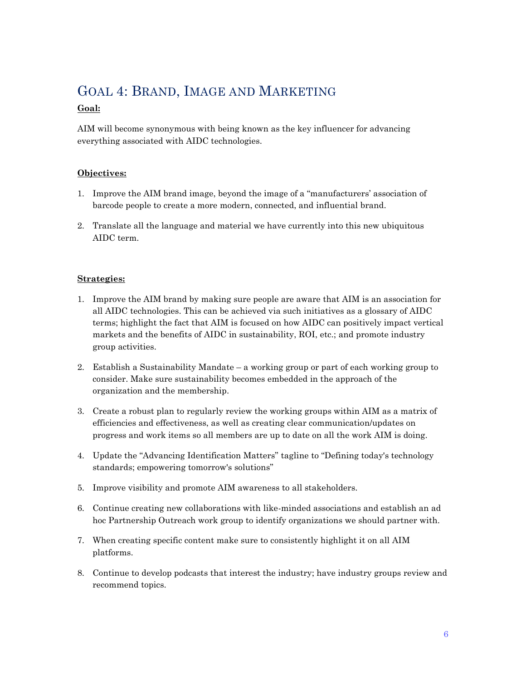## GOAL 4: BRAND, IMAGE AND MARKETING

#### **Goal:**

AIM will become synonymous with being known as the key influencer for advancing everything associated with AIDC technologies.

#### **Objectives:**

- 1. Improve the AIM brand image, beyond the image of a "manufacturers' association of barcode people to create a more modern, connected, and influential brand.
- 2. Translate all the language and material we have currently into this new ubiquitous AIDC term.

- 1. Improve the AIM brand by making sure people are aware that AIM is an association for all AIDC technologies. This can be achieved via such initiatives as a glossary of AIDC terms; highlight the fact that AIM is focused on how AIDC can positively impact vertical markets and the benefits of AIDC in sustainability, ROI, etc.; and promote industry group activities.
- 2. Establish a Sustainability Mandate a working group or part of each working group to consider. Make sure sustainability becomes embedded in the approach of the organization and the membership.
- 3. Create a robust plan to regularly review the working groups within AIM as a matrix of efficiencies and effectiveness, as well as creating clear communication/updates on progress and work items so all members are up to date on all the work AIM is doing.
- 4. Update the "Advancing Identification Matters" tagline to "Defining today's technology standards; empowering tomorrow's solutions"
- 5. Improve visibility and promote AIM awareness to all stakeholders.
- 6. Continue creating new collaborations with like-minded associations and establish an ad hoc Partnership Outreach work group to identify organizations we should partner with.
- 7. When creating specific content make sure to consistently highlight it on all AIM platforms.
- 8. Continue to develop podcasts that interest the industry; have industry groups review and recommend topics.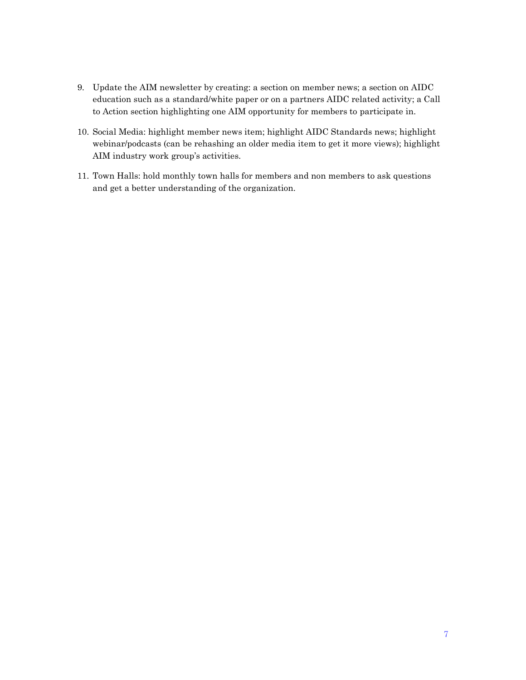- 9. Update the AIM newsletter by creating: a section on member news; a section on AIDC education such as a standard/white paper or on a partners AIDC related activity; a Call to Action section highlighting one AIM opportunity for members to participate in.
- 10. Social Media: highlight member news item; highlight AIDC Standards news; highlight webinar/podcasts (can be rehashing an older media item to get it more views); highlight AIM industry work group's activities.
- <span id="page-9-0"></span>11. Town Halls: hold monthly town halls for members and non members to ask questions and get a better understanding of the organization.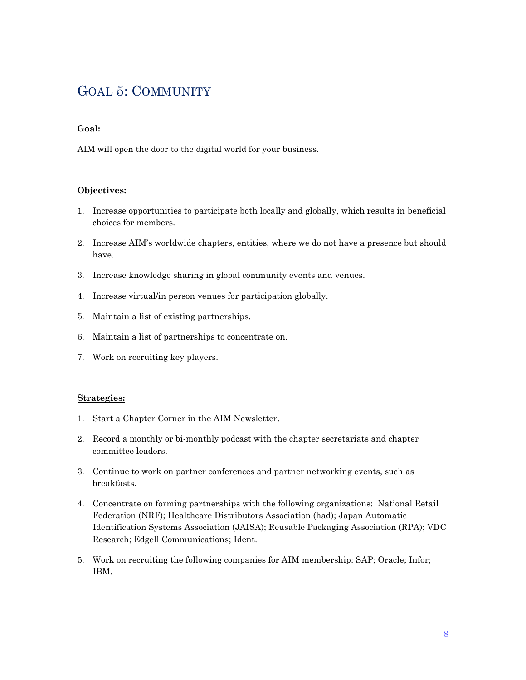### GOAL 5: COMMUNITY

#### **Goal:**

AIM will open the door to the digital world for your business.

#### **Objectives:**

- 1. Increase opportunities to participate both locally and globally, which results in beneficial choices for members.
- 2. Increase AIM's worldwide chapters, entities, where we do not have a presence but should have.
- 3. Increase knowledge sharing in global community events and venues.
- 4. Increase virtual/in person venues for participation globally.
- 5. Maintain a list of existing partnerships.
- 6. Maintain a list of partnerships to concentrate on.
- 7. Work on recruiting key players.

- 1. Start a Chapter Corner in the AIM Newsletter.
- 2. Record a monthly or bi-monthly podcast with the chapter secretariats and chapter committee leaders.
- 3. Continue to work on partner conferences and partner networking events, such as breakfasts.
- 4. Concentrate on forming partnerships with the following organizations: National Retail Federation (NRF); Healthcare Distributors Association (had); Japan Automatic Identification Systems Association (JAISA); Reusable Packaging Association (RPA); VDC Research; Edgell Communications; Ident.
- 5. Work on recruiting the following companies for AIM membership: SAP; Oracle; Infor; IBM.